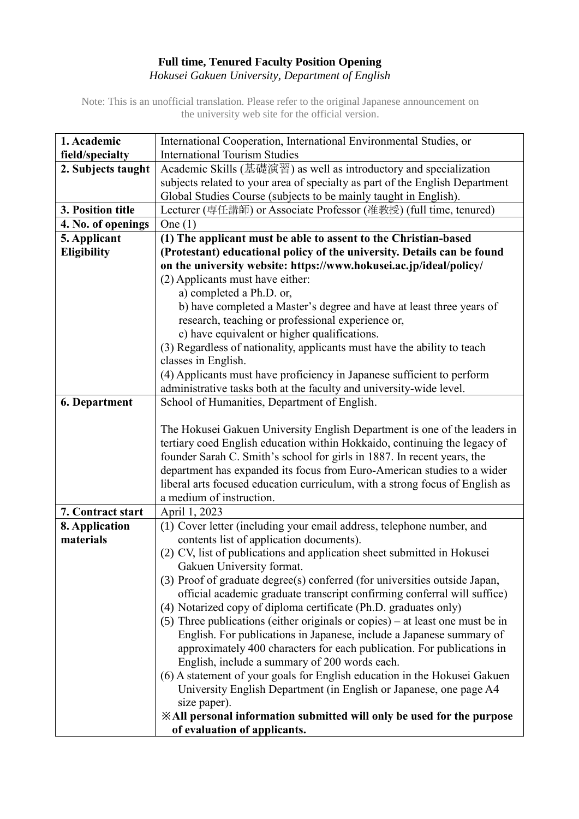## **Full time, Tenured Faculty Position Opening** *Hokusei Gakuen University, Department of English*

Note: This is an unofficial translation. Please refer to the original Japanese announcement on the university web site for the official version.

| 1. Academic          | International Cooperation, International Environmental Studies, or            |
|----------------------|-------------------------------------------------------------------------------|
| field/specialty      | <b>International Tourism Studies</b>                                          |
| 2. Subjects taught   | Academic Skills (基礎演習) as well as introductory and specialization             |
|                      | subjects related to your area of specialty as part of the English Department  |
|                      | Global Studies Course (subjects to be mainly taught in English).              |
| 3. Position title    | Lecturer (専任講師) or Associate Professor (准教授) (full time, tenured)             |
| 4. No. of openings   | One $(1)$                                                                     |
| 5. Applicant         | (1) The applicant must be able to assent to the Christian-based               |
| <b>Eligibility</b>   | (Protestant) educational policy of the university. Details can be found       |
|                      | on the university website: https://www.hokusei.ac.jp/ideal/policy/            |
|                      | (2) Applicants must have either:                                              |
|                      | a) completed a Ph.D. or,                                                      |
|                      | b) have completed a Master's degree and have at least three years of          |
|                      | research, teaching or professional experience or,                             |
|                      | c) have equivalent or higher qualifications.                                  |
|                      | (3) Regardless of nationality, applicants must have the ability to teach      |
|                      | classes in English.                                                           |
|                      | (4) Applicants must have proficiency in Japanese sufficient to perform        |
|                      | administrative tasks both at the faculty and university-wide level.           |
| <b>6. Department</b> | School of Humanities, Department of English.                                  |
|                      | The Hokusei Gakuen University English Department is one of the leaders in     |
|                      | tertiary coed English education within Hokkaido, continuing the legacy of     |
|                      | founder Sarah C. Smith's school for girls in 1887. In recent years, the       |
|                      | department has expanded its focus from Euro-American studies to a wider       |
|                      | liberal arts focused education curriculum, with a strong focus of English as  |
|                      | a medium of instruction.                                                      |
| 7. Contract start    | April 1, 2023                                                                 |
| 8. Application       | (1) Cover letter (including your email address, telephone number, and         |
| materials            | contents list of application documents).                                      |
|                      | (2) CV, list of publications and application sheet submitted in Hokusei       |
|                      | Gakuen University format.                                                     |
|                      | (3) Proof of graduate degree(s) conferred (for universities outside Japan,    |
|                      | official academic graduate transcript confirming conferral will suffice)      |
|                      | (4) Notarized copy of diploma certificate (Ph.D. graduates only)              |
|                      | (5) Three publications (either originals or copies) – at least one must be in |
|                      | English. For publications in Japanese, include a Japanese summary of          |
|                      | approximately 400 characters for each publication. For publications in        |
|                      | English, include a summary of 200 words each.                                 |
|                      | (6) A statement of your goals for English education in the Hokusei Gakuen     |
|                      | University English Department (in English or Japanese, one page A4            |
|                      | size paper).                                                                  |
|                      | <b>EXAll personal information submitted will only be used for the purpose</b> |
|                      | of evaluation of applicants.                                                  |